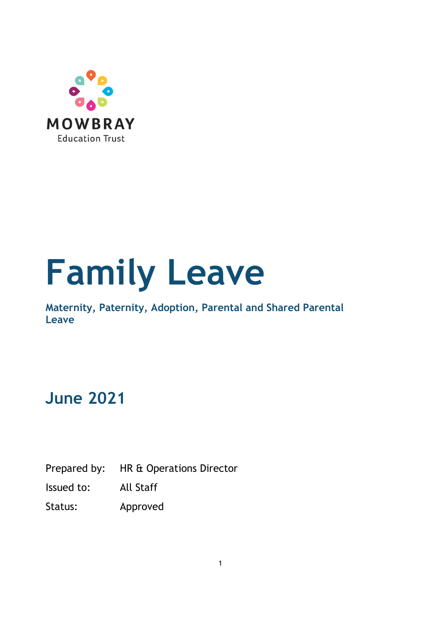

# **Family Leave**

**Maternity, Paternity, Adoption, Parental and Shared Parental Leave** 

# **June 2021**

Prepared by: HR & Operations Director

Issued to: All Staff

Status: Approved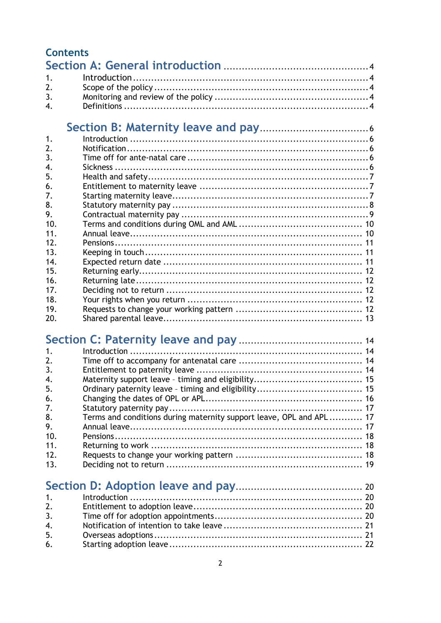| <b>Contents</b> |                                                                     |  |
|-----------------|---------------------------------------------------------------------|--|
|                 |                                                                     |  |
| 1.              |                                                                     |  |
| 2.              |                                                                     |  |
| 3.              |                                                                     |  |
| 4.              |                                                                     |  |
|                 |                                                                     |  |
| 1.              |                                                                     |  |
| 2.              |                                                                     |  |
| 3.              |                                                                     |  |
| 4.              |                                                                     |  |
| 5.              |                                                                     |  |
| 6.              |                                                                     |  |
| 7.              |                                                                     |  |
| 8.              |                                                                     |  |
| 9.              |                                                                     |  |
| 10.             |                                                                     |  |
| 11.             |                                                                     |  |
| 12.             |                                                                     |  |
| 13.             |                                                                     |  |
| 14.             |                                                                     |  |
| 15.             |                                                                     |  |
| 16.             |                                                                     |  |
| 17.             |                                                                     |  |
| 18.             |                                                                     |  |
| 19.             |                                                                     |  |
| 20.             |                                                                     |  |
|                 |                                                                     |  |
|                 |                                                                     |  |
| 1.              |                                                                     |  |
| 2.              |                                                                     |  |
| 3.              |                                                                     |  |
| 4.              |                                                                     |  |
| 5.              |                                                                     |  |
| 6.              |                                                                     |  |
| 7.              |                                                                     |  |
| 8.              | Terms and conditions during maternity support leave, OPL and APL 17 |  |
| 9.              |                                                                     |  |
| 10.             |                                                                     |  |
| 11.             |                                                                     |  |
| 12.             |                                                                     |  |
| 13.             |                                                                     |  |
|                 |                                                                     |  |
|                 |                                                                     |  |
| 1.              | Introduction                                                        |  |
| 2.              |                                                                     |  |
| 3.              |                                                                     |  |
| 4.              |                                                                     |  |
| 5.              |                                                                     |  |
| 6.              |                                                                     |  |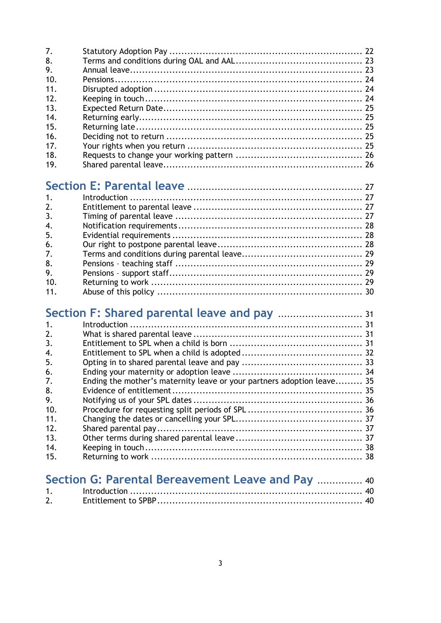| 7.              |  |
|-----------------|--|
| 8.              |  |
| 9.              |  |
| 10.             |  |
| 11.             |  |
| 12 <sub>1</sub> |  |
| 13.             |  |
| 14.             |  |
| 15.             |  |
| 16.             |  |
| 17 <sub>1</sub> |  |
| 18.             |  |
| 19.             |  |
|                 |  |

## **[Section E: Parental leave](#page-26-0)** .......................................................... [27](#page-26-0)

| 1.  |  |
|-----|--|
| 2.  |  |
| 3.  |  |
| 4.  |  |
| 5.  |  |
| 6.  |  |
| 7.  |  |
| 8.  |  |
| 9.  |  |
| 10. |  |
| 11. |  |
|     |  |

## **Section F: Shared parental leave and pay** ............................ <sup>31</sup>

| $\mathbf{1}$ . |                                                                        |  |
|----------------|------------------------------------------------------------------------|--|
| 2.             |                                                                        |  |
| 3.             |                                                                        |  |
| 4.             |                                                                        |  |
| 5.             |                                                                        |  |
| 6.             |                                                                        |  |
| 7.             | Ending the mother's maternity leave or your partners adoption leave 35 |  |
| 8.             |                                                                        |  |
| 9.             |                                                                        |  |
| -10.           |                                                                        |  |
| 11.            |                                                                        |  |
| 12.            |                                                                        |  |
| 13.            |                                                                        |  |
| 14.            |                                                                        |  |
| 15.            |                                                                        |  |
|                |                                                                        |  |

|    | Section G: Parental Bereavement Leave and Pay  40 |  |
|----|---------------------------------------------------|--|
|    |                                                   |  |
| 2. |                                                   |  |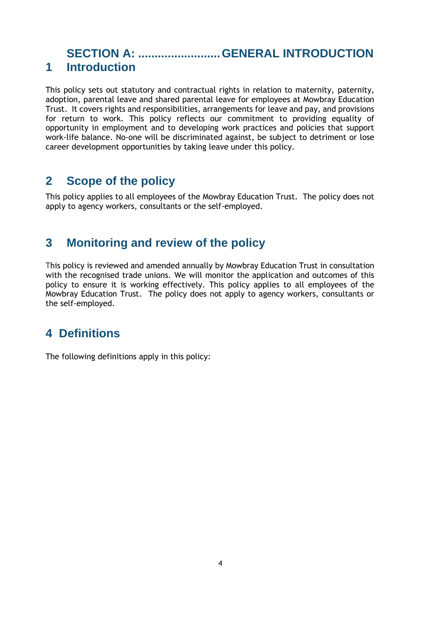#### <span id="page-3-1"></span><span id="page-3-0"></span>**SECTION A: .........................GENERAL INTRODUCTION 1 Introduction**

This policy sets out statutory and contractual rights in relation to maternity, paternity, adoption, parental leave and shared parental leave for employees at Mowbray Education Trust. It covers rights and responsibilities, arrangements for leave and pay, and provisions for return to work. This policy reflects our commitment to providing equality of opportunity in employment and to developing work practices and policies that support work-life balance. No-one will be discriminated against, be subject to detriment or lose career development opportunities by taking leave under this policy.

#### <span id="page-3-2"></span>**2 Scope of the policy**

This policy applies to all employees of the Mowbray Education Trust. The policy does not apply to agency workers, consultants or the self-employed.

## <span id="page-3-3"></span>**3 Monitoring and review of the policy**

This policy is reviewed and amended annually by Mowbray Education Trust in consultation with the recognised trade unions. We will monitor the application and outcomes of this policy to ensure it is working effectively. This policy applies to all employees of the Mowbray Education Trust. The policy does not apply to agency workers, consultants or the self-employed.

## <span id="page-3-4"></span>**4 Definitions**

<span id="page-3-5"></span>The following definitions apply in this policy: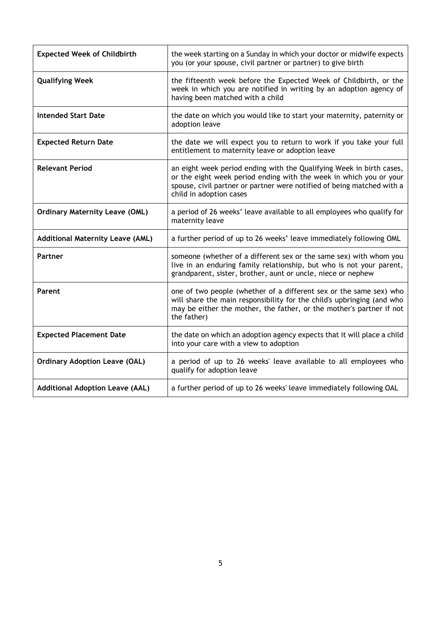| <b>Expected Week of Childbirth</b>      | the week starting on a Sunday in which your doctor or midwife expects<br>you (or your spouse, civil partner or partner) to give birth                                                                                                           |
|-----------------------------------------|-------------------------------------------------------------------------------------------------------------------------------------------------------------------------------------------------------------------------------------------------|
| <b>Qualifying Week</b>                  | the fifteenth week before the Expected Week of Childbirth, or the<br>week in which you are notified in writing by an adoption agency of<br>having been matched with a child                                                                     |
| <b>Intended Start Date</b>              | the date on which you would like to start your maternity, paternity or<br>adoption leave                                                                                                                                                        |
| <b>Expected Return Date</b>             | the date we will expect you to return to work if you take your full<br>entitlement to maternity leave or adoption leave                                                                                                                         |
| <b>Relevant Period</b>                  | an eight week period ending with the Qualifying Week in birth cases,<br>or the eight week period ending with the week in which you or your<br>spouse, civil partner or partner were notified of being matched with a<br>child in adoption cases |
| <b>Ordinary Maternity Leave (OML)</b>   | a period of 26 weeks' leave available to all employees who qualify for<br>maternity leave                                                                                                                                                       |
| <b>Additional Maternity Leave (AML)</b> | a further period of up to 26 weeks' leave immediately following OML                                                                                                                                                                             |
| Partner                                 | someone (whether of a different sex or the same sex) with whom you<br>live in an enduring family relationship, but who is not your parent,<br>grandparent, sister, brother, aunt or uncle, niece or nephew                                      |
| Parent                                  | one of two people (whether of a different sex or the same sex) who<br>will share the main responsibility for the child's upbringing (and who<br>may be either the mother, the father, or the mother's partner if not<br>the father)             |
| <b>Expected Placement Date</b>          | the date on which an adoption agency expects that it will place a child<br>into your care with a view to adoption                                                                                                                               |
| <b>Ordinary Adoption Leave (OAL)</b>    | a period of up to 26 weeks' leave available to all employees who<br>qualify for adoption leave                                                                                                                                                  |
| <b>Additional Adoption Leave (AAL)</b>  | a further period of up to 26 weeks' leave immediately following OAL                                                                                                                                                                             |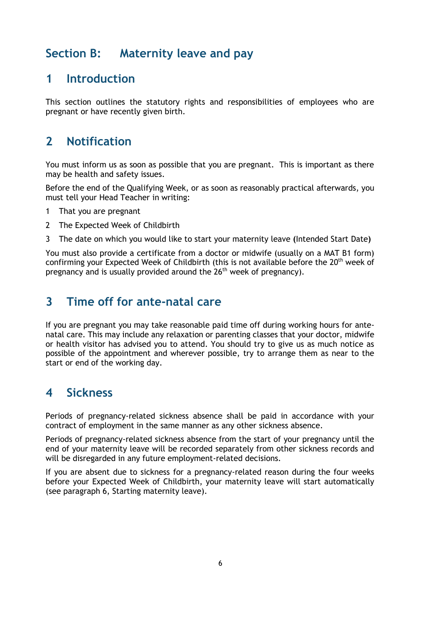## **Section B: Maternity leave and pay**

#### <span id="page-5-0"></span>**1 Introduction**

This section outlines the statutory rights and responsibilities of employees who are pregnant or have recently given birth.

## <span id="page-5-1"></span>**2 Notification**

You must inform us as soon as possible that you are pregnant. This is important as there may be health and safety issues.

Before the end of the Qualifying Week, or as soon as reasonably practical afterwards, you must tell your Head Teacher in writing:

- 1 That you are pregnant
- 2 The Expected Week of Childbirth
- 3 The date on which you would like to start your maternity leave **(**Intended Start Date**)**

You must also provide a certificate from a doctor or midwife (usually on a MAT B1 form) confirming your Expected Week of Childbirth (this is not available before the  $20<sup>th</sup>$  week of pregnancy and is usually provided around the  $26<sup>th</sup>$  week of pregnancy).

## <span id="page-5-2"></span>**3 Time off for ante-natal care**

If you are pregnant you may take reasonable paid time off during working hours for antenatal care. This may include any relaxation or parenting classes that your doctor, midwife or health visitor has advised you to attend. You should try to give us as much notice as possible of the appointment and wherever possible, try to arrange them as near to the start or end of the working day.

## <span id="page-5-3"></span>**4 Sickness**

Periods of pregnancy-related sickness absence shall be paid in accordance with your contract of employment in the same manner as any other sickness absence.

Periods of pregnancy-related sickness absence from the start of your pregnancy until the end of your maternity leave will be recorded separately from other sickness records and will be disregarded in any future employment-related decisions.

If you are absent due to sickness for a pregnancy-related reason during the four weeks before your Expected Week of Childbirth, your maternity leave will start automatically (see paragraph 6, Starting maternity leave).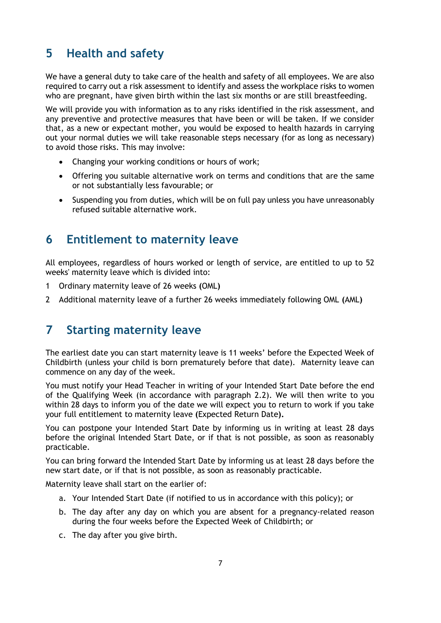## <span id="page-6-0"></span>**5 Health and safety**

We have a general duty to take care of the health and safety of all employees. We are also required to carry out a risk assessment to identify and assess the workplace risks to women who are pregnant, have given birth within the last six months or are still breastfeeding.

We will provide you with information as to any risks identified in the risk assessment, and any preventive and protective measures that have been or will be taken. If we consider that, as a new or expectant mother, you would be exposed to health hazards in carrying out your normal duties we will take reasonable steps necessary (for as long as necessary) to avoid those risks. This may involve:

- Changing your working conditions or hours of work;
- Offering you suitable alternative work on terms and conditions that are the same or not substantially less favourable; or
- Suspending you from duties, which will be on full pay unless you have unreasonably refused suitable alternative work.

#### <span id="page-6-1"></span>**6 Entitlement to maternity leave**

All employees, regardless of hours worked or length of service, are entitled to up to 52 weeks' maternity leave which is divided into:

- 1 Ordinary maternity leave of 26 weeks **(**OML**)**
- 2 Additional maternity leave of a further 26 weeks immediately following OML **(**AML**)**

#### <span id="page-6-2"></span>**7 Starting maternity leave**

The earliest date you can start maternity leave is 11 weeks' before the Expected Week of Childbirth (unless your child is born prematurely before that date). Maternity leave can commence on any day of the week.

You must notify your Head Teacher in writing of your Intended Start Date before the end of the Qualifying Week (in accordance with paragraph 2.2). We will then write to you within 28 days to inform you of the date we will expect you to return to work if you take your full entitlement to maternity leave **(**Expected Return Date**).**

You can postpone your Intended Start Date by informing us in writing at least 28 days before the original Intended Start Date, or if that is not possible, as soon as reasonably practicable.

You can bring forward the Intended Start Date by informing us at least 28 days before the new start date, or if that is not possible, as soon as reasonably practicable.

Maternity leave shall start on the earlier of:

- a. Your Intended Start Date (if notified to us in accordance with this policy); or
- b. The day after any day on which you are absent for a pregnancy-related reason during the four weeks before the Expected Week of Childbirth; or
- c. The day after you give birth.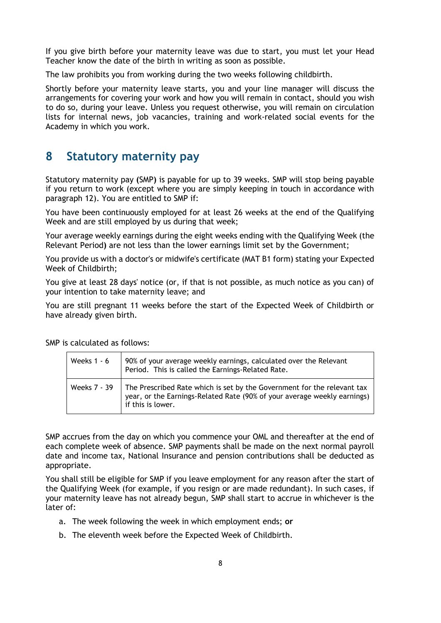If you give birth before your maternity leave was due to start, you must let your Head Teacher know the date of the birth in writing as soon as possible.

The law prohibits you from working during the two weeks following childbirth.

Shortly before your maternity leave starts, you and your line manager will discuss the arrangements for covering your work and how you will remain in contact, should you wish to do so, during your leave. Unless you request otherwise, you will remain on circulation lists for internal news, job vacancies, training and work-related social events for the Academy in which you work.

#### <span id="page-7-0"></span>**8 Statutory maternity pay**

Statutory maternity pay **(**SMP**)** is payable for up to 39 weeks. SMP will stop being payable if you return to work (except where you are simply keeping in touch in accordance with paragraph 12). You are entitled to SMP if:

You have been continuously employed for at least 26 weeks at the end of the Qualifying Week and are still employed by us during that week;

Your average weekly earnings during the eight weeks ending with the Qualifying Week (the Relevant Period**)** are not less than the lower earnings limit set by the Government;

You provide us with a doctor's or midwife's certificate (MAT B1 form) stating your Expected Week of Childbirth;

You give at least 28 days' notice (or, if that is not possible, as much notice as you can) of your intention to take maternity leave; and

You are still pregnant 11 weeks before the start of the Expected Week of Childbirth or have already given birth.

| Weeks $1 - 6$ | 90% of your average weekly earnings, calculated over the Relevant<br>Period. This is called the Earnings-Related Rate.                                                                  |
|---------------|-----------------------------------------------------------------------------------------------------------------------------------------------------------------------------------------|
|               | Weeks $7 - 39$ The Prescribed Rate which is set by the Government for the relevant tax<br>year, or the Earnings-Related Rate (90% of your average weekly earnings)<br>if this is lower. |

SMP is calculated as follows:

SMP accrues from the day on which you commence your OML and thereafter at the end of each complete week of absence. SMP payments shall be made on the next normal payroll date and income tax, National Insurance and pension contributions shall be deducted as appropriate.

You shall still be eligible for SMP if you leave employment for any reason after the start of the Qualifying Week (for example, if you resign or are made redundant). In such cases, if your maternity leave has not already begun, SMP shall start to accrue in whichever is the later of:

- a. The week following the week in which employment ends; **or**
- b. The eleventh week before the Expected Week of Childbirth.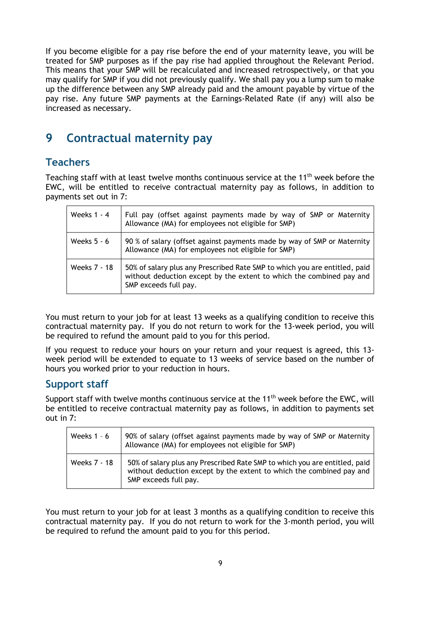If you become eligible for a pay rise before the end of your maternity leave, you will be treated for SMP purposes as if the pay rise had applied throughout the Relevant Period. This means that your SMP will be recalculated and increased retrospectively, or that you may qualify for SMP if you did not previously qualify. We shall pay you a lump sum to make up the difference between any SMP already paid and the amount payable by virtue of the pay rise. Any future SMP payments at the Earnings-Related Rate (if any) will also be increased as necessary.

#### <span id="page-8-0"></span>**9 Contractual maternity pay**

#### **Teachers**

Teaching staff with at least twelve months continuous service at the 11<sup>th</sup> week before the EWC, will be entitled to receive contractual maternity pay as follows, in addition to payments set out in 7:

| Weeks 1 - 4  | Full pay (offset against payments made by way of SMP or Maternity<br>Allowance (MA) for employees not eligible for SMP)                                                     |
|--------------|-----------------------------------------------------------------------------------------------------------------------------------------------------------------------------|
| Weeks 5 - 6  | 90 % of salary (offset against payments made by way of SMP or Maternity<br>Allowance (MA) for employees not eligible for SMP)                                               |
| Weeks 7 - 18 | 50% of salary plus any Prescribed Rate SMP to which you are entitled, paid<br>without deduction except by the extent to which the combined pay and<br>SMP exceeds full pay. |

You must return to your job for at least 13 weeks as a qualifying condition to receive this contractual maternity pay. If you do not return to work for the 13-week period, you will be required to refund the amount paid to you for this period.

If you request to reduce your hours on your return and your request is agreed, this 13 week period will be extended to equate to 13 weeks of service based on the number of hours you worked prior to your reduction in hours.

#### **Support staff**

Support staff with twelve months continuous service at the  $11<sup>th</sup>$  week before the EWC, will be entitled to receive contractual maternity pay as follows, in addition to payments set out in 7:

| Weeks $1 - 6$ | 90% of salary (offset against payments made by way of SMP or Maternity<br>Allowance (MA) for employees not eligible for SMP)                                                |
|---------------|-----------------------------------------------------------------------------------------------------------------------------------------------------------------------------|
| Weeks 7 - 18  | 50% of salary plus any Prescribed Rate SMP to which you are entitled, paid<br>without deduction except by the extent to which the combined pay and<br>SMP exceeds full pay. |

You must return to your job for at least 3 months as a qualifying condition to receive this contractual maternity pay. If you do not return to work for the 3-month period, you will be required to refund the amount paid to you for this period.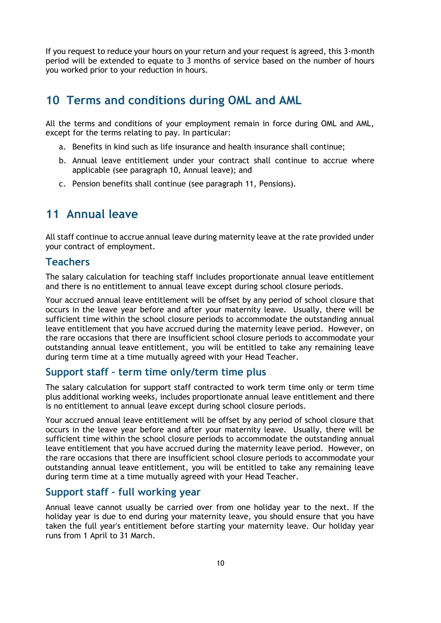If you request to reduce your hours on your return and your request is agreed, this 3-month period will be extended to equate to 3 months of service based on the number of hours you worked prior to your reduction in hours.

#### <span id="page-9-0"></span>**10 Terms and conditions during OML and AML**

All the terms and conditions of your employment remain in force during OML and AML, except for the terms relating to pay. In particular:

- a. Benefits in kind such as life insurance and health insurance shall continue;
- b. Annual leave entitlement under your contract shall continue to accrue where applicable (see paragraph 10, Annual leave); and
- c. Pension benefits shall continue (see paragraph 11, Pensions).

#### <span id="page-9-1"></span>**11 Annual leave**

All staff continue to accrue annual leave during maternity leave at the rate provided under your contract of employment.

#### **Teachers**

The salary calculation for teaching staff includes proportionate annual leave entitlement and there is no entitlement to annual leave except during school closure periods.

Your accrued annual leave entitlement will be offset by any period of school closure that occurs in the leave year before and after your maternity leave. Usually, there will be sufficient time within the school closure periods to accommodate the outstanding annual leave entitlement that you have accrued during the maternity leave period. However, on the rare occasions that there are insufficient school closure periods to accommodate your outstanding annual leave entitlement, you will be entitled to take any remaining leave during term time at a time mutually agreed with your Head Teacher.

#### **Support staff – term time only/term time plus**

The salary calculation for support staff contracted to work term time only or term time plus additional working weeks, includes proportionate annual leave entitlement and there is no entitlement to annual leave except during school closure periods.

Your accrued annual leave entitlement will be offset by any period of school closure that occurs in the leave year before and after your maternity leave. Usually, there will be sufficient time within the school closure periods to accommodate the outstanding annual leave entitlement that you have accrued during the maternity leave period. However, on the rare occasions that there are insufficient school closure periods to accommodate your outstanding annual leave entitlement, you will be entitled to take any remaining leave during term time at a time mutually agreed with your Head Teacher.

#### **Support staff – full working year**

Annual leave cannot usually be carried over from one holiday year to the next. If the holiday year is due to end during your maternity leave, you should ensure that you have taken the full year's entitlement before starting your maternity leave. Our holiday year runs from 1 April to 31 March.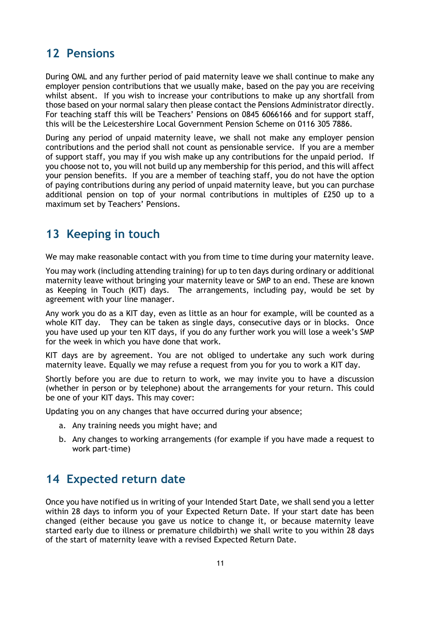#### <span id="page-10-0"></span>**12 Pensions**

During OML and any further period of paid maternity leave we shall continue to make any employer pension contributions that we usually make, based on the pay you are receiving whilst absent. If you wish to increase your contributions to make up any shortfall from those based on your normal salary then please contact the Pensions Administrator directly. For teaching staff this will be Teachers' Pensions on 0845 6066166 and for support staff, this will be the Leicestershire Local Government Pension Scheme on 0116 305 7886.

During any period of unpaid maternity leave, we shall not make any employer pension contributions and the period shall not count as pensionable service. If you are a member of support staff, you may if you wish make up any contributions for the unpaid period. If you choose not to, you will not build up any membership for this period, and this will affect your pension benefits. If you are a member of teaching staff, you do not have the option of paying contributions during any period of unpaid maternity leave, but you can purchase additional pension on top of your normal contributions in multiples of £250 up to a maximum set by Teachers' Pensions.

## <span id="page-10-1"></span>**13 Keeping in touch**

We may make reasonable contact with you from time to time during your maternity leave.

You may work (including attending training) for up to ten days during ordinary or additional maternity leave without bringing your maternity leave or SMP to an end. These are known as Keeping in Touch (KIT) days. The arrangements, including pay, would be set by agreement with your line manager.

Any work you do as a KIT day, even as little as an hour for example, will be counted as a whole KIT day. They can be taken as single days, consecutive days or in blocks. Once you have used up your ten KIT days, if you do any further work you will lose a week's SMP for the week in which you have done that work.

KIT days are by agreement. You are not obliged to undertake any such work during maternity leave. Equally we may refuse a request from you for you to work a KIT day.

Shortly before you are due to return to work, we may invite you to have a discussion (whether in person or by telephone) about the arrangements for your return. This could be one of your KIT days. This may cover:

Updating you on any changes that have occurred during your absence;

- a. Any training needs you might have; and
- b. Any changes to working arrangements (for example if you have made a request to work part-time)

#### <span id="page-10-2"></span>**14 Expected return date**

Once you have notified us in writing of your Intended Start Date, we shall send you a letter within 28 days to inform you of your Expected Return Date. If your start date has been changed (either because you gave us notice to change it, or because maternity leave started early due to illness or premature childbirth) we shall write to you within 28 days of the start of maternity leave with a revised Expected Return Date.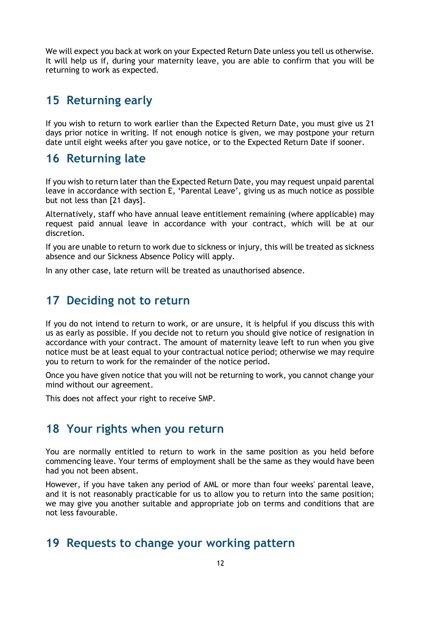We will expect you back at work on your Expected Return Date unless you tell us otherwise. It will help us if, during your maternity leave, you are able to confirm that you will be returning to work as expected.

#### <span id="page-11-0"></span>**15 Returning early**

If you wish to return to work earlier than the Expected Return Date, you must give us 21 days prior notice in writing. If not enough notice is given, we may postpone your return date until eight weeks after you gave notice, or to the Expected Return Date if sooner.

#### <span id="page-11-1"></span>**16 Returning late**

If you wish to return later than the Expected Return Date, you may request unpaid parental leave in accordance with section E, 'Parental Leave', giving us as much notice as possible but not less than [21 days].

Alternatively, staff who have annual leave entitlement remaining (where applicable) may request paid annual leave in accordance with your contract, which will be at our discretion.

If you are unable to return to work due to sickness or injury, this will be treated as sickness absence and our Sickness Absence Policy will apply.

In any other case, late return will be treated as unauthorised absence.

#### <span id="page-11-2"></span>**17 Deciding not to return**

If you do not intend to return to work, or are unsure, it is helpful if you discuss this with us as early as possible. If you decide not to return you should give notice of resignation in accordance with your contract. The amount of maternity leave left to run when you give notice must be at least equal to your contractual notice period; otherwise we may require you to return to work for the remainder of the notice period.

Once you have given notice that you will not be returning to work, you cannot change your mind without our agreement.

This does not affect your right to receive SMP.

#### <span id="page-11-3"></span>**18 Your rights when you return**

You are normally entitled to return to work in the same position as you held before commencing leave. Your terms of employment shall be the same as they would have been had you not been absent.

However, if you have taken any period of AML or more than four weeks' parental leave, and it is not reasonably practicable for us to allow you to return into the same position; we may give you another suitable and appropriate job on terms and conditions that are not less favourable.

#### <span id="page-11-4"></span>**19 Requests to change your working pattern**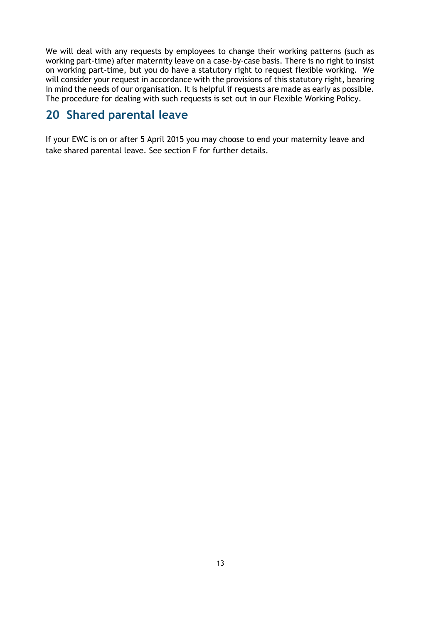We will deal with any requests by employees to change their working patterns (such as working part-time) after maternity leave on a case-by-case basis. There is no right to insist on working part-time, but you do have a statutory right to request flexible working. We will consider your request in accordance with the provisions of this statutory right, bearing in mind the needs of our organisation. It is helpful if requests are made as early as possible. The procedure for dealing with such requests is set out in our Flexible Working Policy.

## <span id="page-12-0"></span>**20 Shared parental leave**

If your EWC is on or after 5 April 2015 you may choose to end your maternity leave and take shared parental leave. See section F for further details.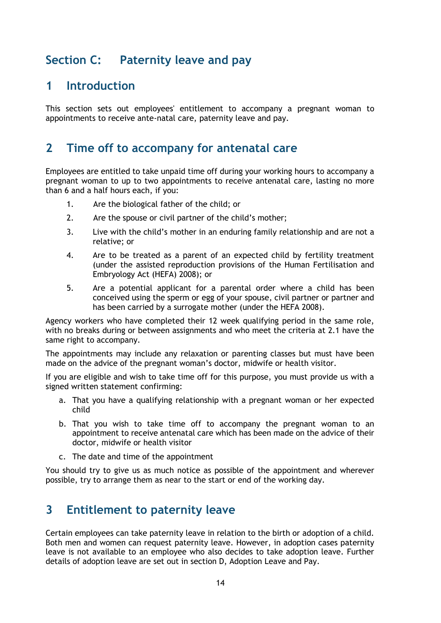## <span id="page-13-0"></span>**Section C: Paternity leave and pay**

#### <span id="page-13-1"></span>**1 Introduction**

This section sets out employees' entitlement to accompany a pregnant woman to appointments to receive ante-natal care, paternity leave and pay.

#### <span id="page-13-2"></span>**2 Time off to accompany for antenatal care**

Employees are entitled to take unpaid time off during your working hours to accompany a pregnant woman to up to two appointments to receive antenatal care, lasting no more than 6 and a half hours each, if you:

- 1. Are the biological father of the child; or
- 2. Are the spouse or civil partner of the child's mother;
- 3. Live with the child's mother in an enduring family relationship and are not a relative; or
- 4. Are to be treated as a parent of an expected child by fertility treatment (under the assisted reproduction provisions of the Human Fertilisation and Embryology Act (HEFA) 2008); or
- 5. Are a potential applicant for a parental order where a child has been conceived using the sperm or egg of your spouse, civil partner or partner and has been carried by a surrogate mother (under the HEFA 2008).

Agency workers who have completed their 12 week qualifying period in the same role, with no breaks during or between assignments and who meet the criteria at 2.1 have the same right to accompany.

The appointments may include any relaxation or parenting classes but must have been made on the advice of the pregnant woman's doctor, midwife or health visitor.

If you are eligible and wish to take time off for this purpose, you must provide us with a signed written statement confirming:

- a. That you have a qualifying relationship with a pregnant woman or her expected child
- b. That you wish to take time off to accompany the pregnant woman to an appointment to receive antenatal care which has been made on the advice of their doctor, midwife or health visitor
- c. The date and time of the appointment

You should try to give us as much notice as possible of the appointment and wherever possible, try to arrange them as near to the start or end of the working day.

## <span id="page-13-3"></span>**3 Entitlement to paternity leave**

Certain employees can take paternity leave in relation to the birth or adoption of a child. Both men and women can request paternity leave. However, in adoption cases paternity leave is not available to an employee who also decides to take adoption leave. Further details of adoption leave are set out in section D, Adoption Leave and Pay.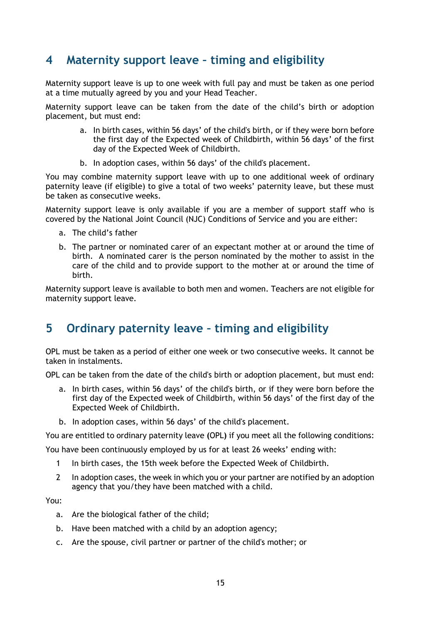## <span id="page-14-0"></span>**4 Maternity support leave – timing and eligibility**

Maternity support leave is up to one week with full pay and must be taken as one period at a time mutually agreed by you and your Head Teacher.

Maternity support leave can be taken from the date of the child's birth or adoption placement, but must end:

- a. In birth cases, within 56 days' of the child's birth, or if they were born before the first day of the Expected week of Childbirth, within 56 days' of the first day of the Expected Week of Childbirth.
- b. In adoption cases, within 56 days' of the child's placement.

You may combine maternity support leave with up to one additional week of ordinary paternity leave (if eligible) to give a total of two weeks' paternity leave, but these must be taken as consecutive weeks.

Maternity support leave is only available if you are a member of support staff who is covered by the National Joint Council (NJC) Conditions of Service and you are either:

- a. The child's father
- b. The partner or nominated carer of an expectant mother at or around the time of birth. A nominated carer is the person nominated by the mother to assist in the care of the child and to provide support to the mother at or around the time of birth.

Maternity support leave is available to both men and women. Teachers are not eligible for maternity support leave.

## <span id="page-14-1"></span>**5 Ordinary paternity leave – timing and eligibility**

OPL must be taken as a period of either one week or two consecutive weeks. It cannot be taken in instalments.

OPL can be taken from the date of the child's birth or adoption placement, but must end:

- a. In birth cases, within 56 days' of the child's birth, or if they were born before the first day of the Expected week of Childbirth, within 56 days' of the first day of the Expected Week of Childbirth.
- b. In adoption cases, within 56 days' of the child's placement.

You are entitled to ordinary paternity leave **(**OPL**)** if you meet all the following conditions:

You have been continuously employed by us for at least 26 weeks' ending with:

- 1 In birth cases, the 15th week before the Expected Week of Childbirth.
- 2 In adoption cases, the week in which you or your partner are notified by an adoption agency that you/they have been matched with a child.

You:

- a. Are the biological father of the child;
- b. Have been matched with a child by an adoption agency;
- c. Are the spouse, civil partner or partner of the child's mother; or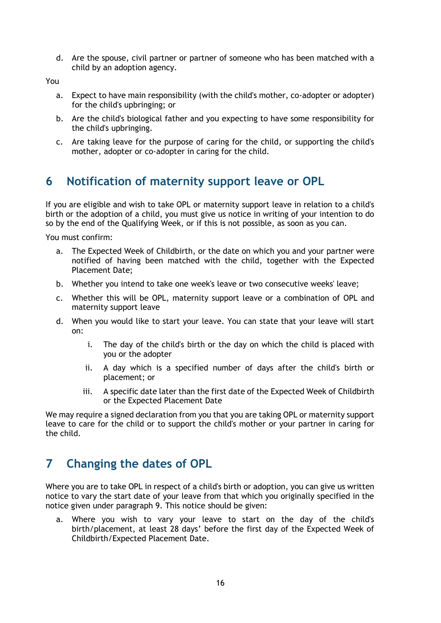d. Are the spouse, civil partner or partner of someone who has been matched with a child by an adoption agency.

You

- a. Expect to have main responsibility (with the child's mother, co-adopter or adopter) for the child's upbringing; or
- b. Are the child's biological father and you expecting to have some responsibility for the child's upbringing.
- c. Are taking leave for the purpose of caring for the child, or supporting the child's mother, adopter or co-adopter in caring for the child.

## **6 Notification of maternity support leave or OPL**

If you are eligible and wish to take OPL or maternity support leave in relation to a child's birth or the adoption of a child, you must give us notice in writing of your intention to do so by the end of the Qualifying Week, or if this is not possible, as soon as you can.

You must confirm:

- a. The Expected Week of Childbirth, or the date on which you and your partner were notified of having been matched with the child, together with the Expected Placement Date;
- b. Whether you intend to take one week's leave or two consecutive weeks' leave;
- c. Whether this will be OPL, maternity support leave or a combination of OPL and maternity support leave
- d. When you would like to start your leave. You can state that your leave will start on:
	- i. The day of the child's birth or the day on which the child is placed with you or the adopter
	- ii. A day which is a specified number of days after the child's birth or placement; or
	- iii. A specific date later than the first date of the Expected Week of Childbirth or the Expected Placement Date

We may require a signed declaration from you that you are taking OPL or maternity support leave to care for the child or to support the child's mother or your partner in caring for the child.

## <span id="page-15-0"></span>**7 Changing the dates of OPL**

Where you are to take OPL in respect of a child's birth or adoption, you can give us written notice to vary the start date of your leave from that which you originally specified in the notice given under paragraph 9. This notice should be given:

a. Where you wish to vary your leave to start on the day of the child's birth/placement, at least 28 days' before the first day of the Expected Week of Childbirth/Expected Placement Date.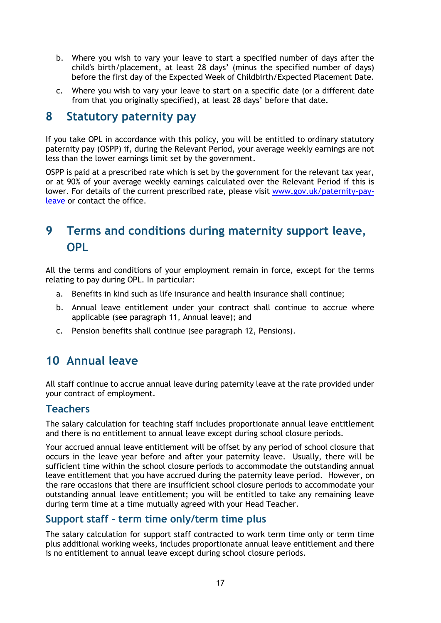- b. Where you wish to vary your leave to start a specified number of days after the child's birth/placement, at least 28 days' (minus the specified number of days) before the first day of the Expected Week of Childbirth/Expected Placement Date.
- c. Where you wish to vary your leave to start on a specific date (or a different date from that you originally specified), at least 28 days' before that date.

#### <span id="page-16-0"></span>**8 Statutory paternity pay**

If you take OPL in accordance with this policy, you will be entitled to ordinary statutory paternity pay (OSPP) if, during the Relevant Period, your average weekly earnings are not less than the lower earnings limit set by the government.

OSPP is paid at a prescribed rate which is set by the government for the relevant tax year, or at 90% of your average weekly earnings calculated over the Relevant Period if this is lower. For details of the current prescribed rate, please visit [www.gov.uk/paternity-pay](http://www.gov.uk/paternity-pay-leave)[leave](http://www.gov.uk/paternity-pay-leave) or contact the office.

## <span id="page-16-1"></span>**9 Terms and conditions during maternity support leave, OPL**

All the terms and conditions of your employment remain in force, except for the terms relating to pay during OPL. In particular:

- a. Benefits in kind such as life insurance and health insurance shall continue;
- b. Annual leave entitlement under your contract shall continue to accrue where applicable (see paragraph 11, Annual leave); and
- c. Pension benefits shall continue (see paragraph 12, Pensions).

## <span id="page-16-2"></span>**10 Annual leave**

All staff continue to accrue annual leave during paternity leave at the rate provided under your contract of employment.

#### **Teachers**

The salary calculation for teaching staff includes proportionate annual leave entitlement and there is no entitlement to annual leave except during school closure periods.

Your accrued annual leave entitlement will be offset by any period of school closure that occurs in the leave year before and after your paternity leave. Usually, there will be sufficient time within the school closure periods to accommodate the outstanding annual leave entitlement that you have accrued during the paternity leave period. However, on the rare occasions that there are insufficient school closure periods to accommodate your outstanding annual leave entitlement; you will be entitled to take any remaining leave during term time at a time mutually agreed with your Head Teacher.

#### **Support staff – term time only/term time plus**

The salary calculation for support staff contracted to work term time only or term time plus additional working weeks, includes proportionate annual leave entitlement and there is no entitlement to annual leave except during school closure periods.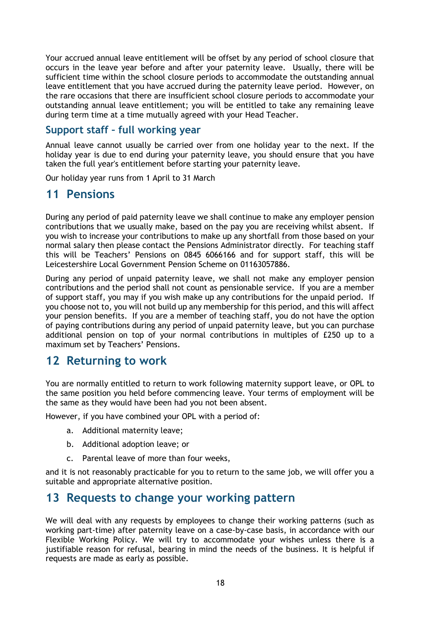Your accrued annual leave entitlement will be offset by any period of school closure that occurs in the leave year before and after your paternity leave. Usually, there will be sufficient time within the school closure periods to accommodate the outstanding annual leave entitlement that you have accrued during the paternity leave period. However, on the rare occasions that there are insufficient school closure periods to accommodate your outstanding annual leave entitlement; you will be entitled to take any remaining leave during term time at a time mutually agreed with your Head Teacher.

#### **Support staff – full working year**

Annual leave cannot usually be carried over from one holiday year to the next. If the holiday year is due to end during your paternity leave, you should ensure that you have taken the full year's entitlement before starting your paternity leave.

Our holiday year runs from 1 April to 31 March

#### <span id="page-17-0"></span>**11 Pensions**

During any period of paid paternity leave we shall continue to make any employer pension contributions that we usually make, based on the pay you are receiving whilst absent. If you wish to increase your contributions to make up any shortfall from those based on your normal salary then please contact the Pensions Administrator directly. For teaching staff this will be Teachers' Pensions on 0845 6066166 and for support staff, this will be Leicestershire Local Government Pension Scheme on 01163057886.

During any period of unpaid paternity leave, we shall not make any employer pension contributions and the period shall not count as pensionable service. If you are a member of support staff, you may if you wish make up any contributions for the unpaid period. If you choose not to, you will not build up any membership for this period, and this will affect your pension benefits. If you are a member of teaching staff, you do not have the option of paying contributions during any period of unpaid paternity leave, but you can purchase additional pension on top of your normal contributions in multiples of £250 up to a maximum set by Teachers' Pensions.

#### <span id="page-17-1"></span>**12 Returning to work**

You are normally entitled to return to work following maternity support leave, or OPL to the same position you held before commencing leave. Your terms of employment will be the same as they would have been had you not been absent.

However, if you have combined your OPL with a period of:

- a. Additional maternity leave;
- b. Additional adoption leave; or
- c. Parental leave of more than four weeks,

and it is not reasonably practicable for you to return to the same job, we will offer you a suitable and appropriate alternative position.

#### <span id="page-17-2"></span>**13 Requests to change your working pattern**

We will deal with any requests by employees to change their working patterns (such as working part-time) after paternity leave on a case-by-case basis, in accordance with our Flexible Working Policy. We will try to accommodate your wishes unless there is a justifiable reason for refusal, bearing in mind the needs of the business. It is helpful if requests are made as early as possible.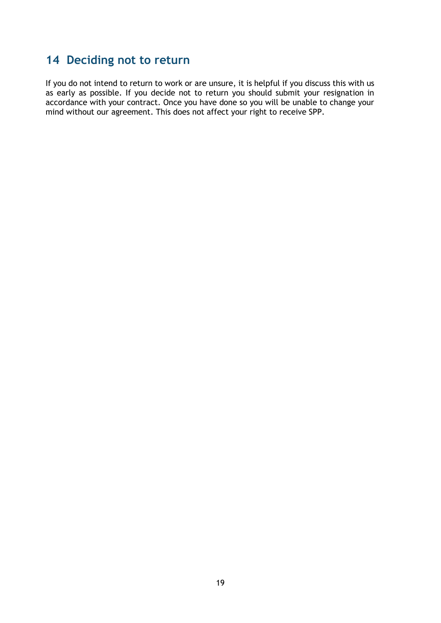## <span id="page-18-0"></span>**14 Deciding not to return**

If you do not intend to return to work or are unsure, it is helpful if you discuss this with us as early as possible. If you decide not to return you should submit your resignation in accordance with your contract. Once you have done so you will be unable to change your mind without our agreement. This does not affect your right to receive SPP.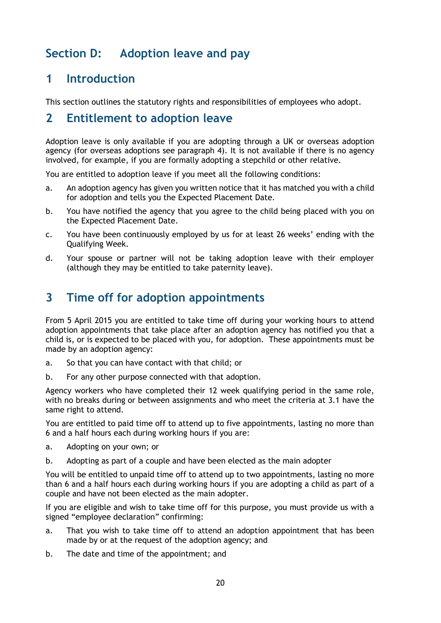## <span id="page-19-1"></span><span id="page-19-0"></span>**Section D: Adoption leave and pay**

## **1 Introduction**

This section outlines the statutory rights and responsibilities of employees who adopt.

#### <span id="page-19-2"></span>**2 Entitlement to adoption leave**

Adoption leave is only available if you are adopting through a UK or overseas adoption agency (for overseas adoptions see paragraph 4). It is not available if there is no agency involved, for example, if you are formally adopting a stepchild or other relative.

You are entitled to adoption leave if you meet all the following conditions:

- a. An adoption agency has given you written notice that it has matched you with a child for adoption and tells you the Expected Placement Date.
- b. You have notified the agency that you agree to the child being placed with you on the Expected Placement Date.
- c. You have been continuously employed by us for at least 26 weeks' ending with the Qualifying Week.
- d. Your spouse or partner will not be taking adoption leave with their employer (although they may be entitled to take paternity leave).

## <span id="page-19-3"></span>**3 Time off for adoption appointments**

From 5 April 2015 you are entitled to take time off during your working hours to attend adoption appointments that take place after an adoption agency has notified you that a child is, or is expected to be placed with you, for adoption. These appointments must be made by an adoption agency:

- a. So that you can have contact with that child; or
- b. For any other purpose connected with that adoption.

Agency workers who have completed their 12 week qualifying period in the same role, with no breaks during or between assignments and who meet the criteria at 3.1 have the same right to attend.

You are entitled to paid time off to attend up to five appointments, lasting no more than 6 and a half hours each during working hours if you are:

- a. Adopting on your own; or
- b. Adopting as part of a couple and have been elected as the main adopter

You will be entitled to unpaid time off to attend up to two appointments, lasting no more than 6 and a half hours each during working hours if you are adopting a child as part of a couple and have not been elected as the main adopter.

If you are eligible and wish to take time off for this purpose, you must provide us with a signed "employee declaration" confirming:

- a. That you wish to take time off to attend an adoption appointment that has been made by or at the request of the adoption agency; and
- b. The date and time of the appointment; and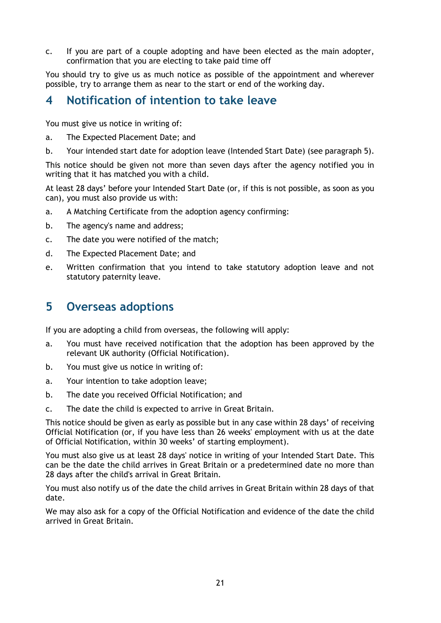c. If you are part of a couple adopting and have been elected as the main adopter, confirmation that you are electing to take paid time off

You should try to give us as much notice as possible of the appointment and wherever possible, try to arrange them as near to the start or end of the working day.

#### <span id="page-20-0"></span>**4 Notification of intention to take leave**

You must give us notice in writing of:

- a. The Expected Placement Date; and
- b. Your intended start date for adoption leave (Intended Start Date) (see paragraph 5).

This notice should be given not more than seven days after the agency notified you in writing that it has matched you with a child.

At least 28 days' before your Intended Start Date (or, if this is not possible, as soon as you can), you must also provide us with:

- a. A Matching Certificate from the adoption agency confirming:
- b. The agency's name and address;
- c. The date you were notified of the match;
- d. The Expected Placement Date; and
- e. Written confirmation that you intend to take statutory adoption leave and not statutory paternity leave.

#### <span id="page-20-1"></span>**5 Overseas adoptions**

If you are adopting a child from overseas, the following will apply:

- a. You must have received notification that the adoption has been approved by the relevant UK authority (Official Notification).
- b. You must give us notice in writing of:
- a. Your intention to take adoption leave;
- b. The date you received Official Notification; and
- c. The date the child is expected to arrive in Great Britain.

This notice should be given as early as possible but in any case within 28 days' of receiving Official Notification (or, if you have less than 26 weeks' employment with us at the date of Official Notification, within 30 weeks' of starting employment).

You must also give us at least 28 days' notice in writing of your Intended Start Date. This can be the date the child arrives in Great Britain or a predetermined date no more than 28 days after the child's arrival in Great Britain.

You must also notify us of the date the child arrives in Great Britain within 28 days of that date.

We may also ask for a copy of the Official Notification and evidence of the date the child arrived in Great Britain.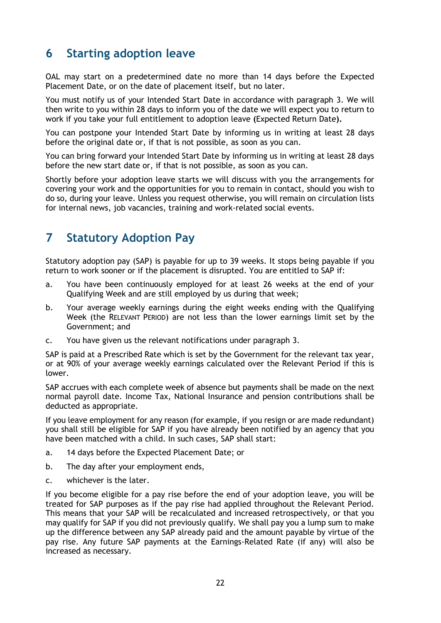## <span id="page-21-0"></span>**6 Starting adoption leave**

OAL may start on a predetermined date no more than 14 days before the Expected Placement Date, or on the date of placement itself, but no later.

You must notify us of your Intended Start Date in accordance with paragraph 3. We will then write to you within 28 days to inform you of the date we will expect you to return to work if you take your full entitlement to adoption leave **(**Expected Return Date**).**

You can postpone your Intended Start Date by informing us in writing at least 28 days before the original date or, if that is not possible, as soon as you can.

You can bring forward your Intended Start Date by informing us in writing at least 28 days before the new start date or, if that is not possible, as soon as you can.

Shortly before your adoption leave starts we will discuss with you the arrangements for covering your work and the opportunities for you to remain in contact, should you wish to do so, during your leave. Unless you request otherwise, you will remain on circulation lists for internal news, job vacancies, training and work-related social events.

## <span id="page-21-1"></span>**7 Statutory Adoption Pay**

Statutory adoption pay (SAP) is payable for up to 39 weeks. It stops being payable if you return to work sooner or if the placement is disrupted. You are entitled to SAP if:

- a. You have been continuously employed for at least 26 weeks at the end of your Qualifying Week and are still employed by us during that week;
- b. Your average weekly earnings during the eight weeks ending with the Qualifying Week (the RELEVANT PERIOD) are not less than the lower earnings limit set by the Government; and
- c. You have given us the relevant notifications under paragraph 3.

SAP is paid at a Prescribed Rate which is set by the Government for the relevant tax year, or at 90% of your average weekly earnings calculated over the Relevant Period if this is lower.

SAP accrues with each complete week of absence but payments shall be made on the next normal payroll date. Income Tax, National Insurance and pension contributions shall be deducted as appropriate.

If you leave employment for any reason (for example, if you resign or are made redundant) you shall still be eligible for SAP if you have already been notified by an agency that you have been matched with a child. In such cases, SAP shall start:

- a. 14 days before the Expected Placement Date; or
- b. The day after your employment ends,
- c. whichever is the later.

If you become eligible for a pay rise before the end of your adoption leave, you will be treated for SAP purposes as if the pay rise had applied throughout the Relevant Period. This means that your SAP will be recalculated and increased retrospectively, or that you may qualify for SAP if you did not previously qualify. We shall pay you a lump sum to make up the difference between any SAP already paid and the amount payable by virtue of the pay rise. Any future SAP payments at the Earnings-Related Rate (if any) will also be increased as necessary.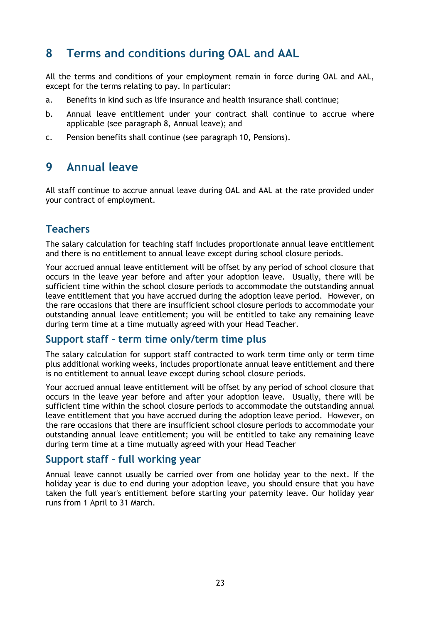## <span id="page-22-0"></span>**8 Terms and conditions during OAL and AAL**

All the terms and conditions of your employment remain in force during OAL and AAL, except for the terms relating to pay. In particular:

- a. Benefits in kind such as life insurance and health insurance shall continue;
- b. Annual leave entitlement under your contract shall continue to accrue where applicable (see paragraph 8, Annual leave); and
- c. Pension benefits shall continue (see paragraph 10, Pensions).

#### <span id="page-22-1"></span>**9 Annual leave**

All staff continue to accrue annual leave during OAL and AAL at the rate provided under your contract of employment.

#### **Teachers**

The salary calculation for teaching staff includes proportionate annual leave entitlement and there is no entitlement to annual leave except during school closure periods.

Your accrued annual leave entitlement will be offset by any period of school closure that occurs in the leave year before and after your adoption leave. Usually, there will be sufficient time within the school closure periods to accommodate the outstanding annual leave entitlement that you have accrued during the adoption leave period. However, on the rare occasions that there are insufficient school closure periods to accommodate your outstanding annual leave entitlement; you will be entitled to take any remaining leave during term time at a time mutually agreed with your Head Teacher.

#### **Support staff – term time only/term time plus**

The salary calculation for support staff contracted to work term time only or term time plus additional working weeks, includes proportionate annual leave entitlement and there is no entitlement to annual leave except during school closure periods.

Your accrued annual leave entitlement will be offset by any period of school closure that occurs in the leave year before and after your adoption leave. Usually, there will be sufficient time within the school closure periods to accommodate the outstanding annual leave entitlement that you have accrued during the adoption leave period. However, on the rare occasions that there are insufficient school closure periods to accommodate your outstanding annual leave entitlement; you will be entitled to take any remaining leave during term time at a time mutually agreed with your Head Teacher

#### **Support staff – full working year**

Annual leave cannot usually be carried over from one holiday year to the next. If the holiday year is due to end during your adoption leave, you should ensure that you have taken the full year's entitlement before starting your paternity leave. Our holiday year runs from 1 April to 31 March.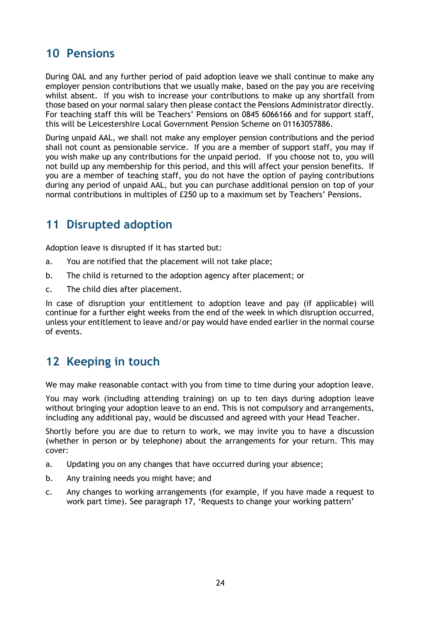## <span id="page-23-0"></span>**10 Pensions**

During OAL and any further period of paid adoption leave we shall continue to make any employer pension contributions that we usually make, based on the pay you are receiving whilst absent. If you wish to increase your contributions to make up any shortfall from those based on your normal salary then please contact the Pensions Administrator directly. For teaching staff this will be Teachers' Pensions on 0845 6066166 and for support staff, this will be Leicestershire Local Government Pension Scheme on 01163057886.

During unpaid AAL, we shall not make any employer pension contributions and the period shall not count as pensionable service. If you are a member of support staff, you may if you wish make up any contributions for the unpaid period. If you choose not to, you will not build up any membership for this period, and this will affect your pension benefits. If you are a member of teaching staff, you do not have the option of paying contributions during any period of unpaid AAL, but you can purchase additional pension on top of your normal contributions in multiples of £250 up to a maximum set by Teachers' Pensions.

## <span id="page-23-1"></span>**11 Disrupted adoption**

Adoption leave is disrupted if it has started but:

- a. You are notified that the placement will not take place;
- b. The child is returned to the adoption agency after placement; or
- c. The child dies after placement.

In case of disruption your entitlement to adoption leave and pay (if applicable) will continue for a further eight weeks from the end of the week in which disruption occurred, unless your entitlement to leave and/or pay would have ended earlier in the normal course of events.

## <span id="page-23-2"></span>**12 Keeping in touch**

We may make reasonable contact with you from time to time during your adoption leave.

You may work (including attending training) on up to ten days during adoption leave without bringing your adoption leave to an end. This is not compulsory and arrangements, including any additional pay, would be discussed and agreed with your Head Teacher.

Shortly before you are due to return to work, we may invite you to have a discussion (whether in person or by telephone) about the arrangements for your return. This may cover:

- a. Updating you on any changes that have occurred during your absence;
- b. Any training needs you might have; and
- c. Any changes to working arrangements (for example, if you have made a request to work part time). See paragraph 17, 'Requests to change your working pattern'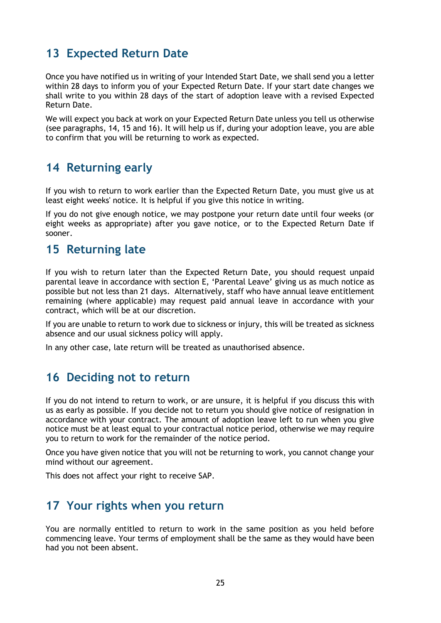## <span id="page-24-0"></span>**13 Expected Return Date**

Once you have notified us in writing of your Intended Start Date, we shall send you a letter within 28 days to inform you of your Expected Return Date. If your start date changes we shall write to you within 28 days of the start of adoption leave with a revised Expected Return Date.

We will expect you back at work on your Expected Return Date unless you tell us otherwise (see paragraphs, 14, 15 and 16). It will help us if, during your adoption leave, you are able to confirm that you will be returning to work as expected.

#### <span id="page-24-1"></span>**14 Returning early**

If you wish to return to work earlier than the Expected Return Date, you must give us at least eight weeks' notice. It is helpful if you give this notice in writing.

If you do not give enough notice, we may postpone your return date until four weeks (or eight weeks as appropriate) after you gave notice, or to the Expected Return Date if sooner.

#### <span id="page-24-2"></span>**15 Returning late**

If you wish to return later than the Expected Return Date, you should request unpaid parental leave in accordance with section E, 'Parental Leave' giving us as much notice as possible but not less than 21 days. Alternatively, staff who have annual leave entitlement remaining (where applicable) may request paid annual leave in accordance with your contract, which will be at our discretion.

If you are unable to return to work due to sickness or injury, this will be treated as sickness absence and our usual sickness policy will apply.

In any other case, late return will be treated as unauthorised absence.

#### <span id="page-24-3"></span>**16 Deciding not to return**

If you do not intend to return to work, or are unsure, it is helpful if you discuss this with us as early as possible. If you decide not to return you should give notice of resignation in accordance with your contract. The amount of adoption leave left to run when you give notice must be at least equal to your contractual notice period, otherwise we may require you to return to work for the remainder of the notice period.

Once you have given notice that you will not be returning to work, you cannot change your mind without our agreement.

This does not affect your right to receive SAP.

## <span id="page-24-4"></span>**17 Your rights when you return**

You are normally entitled to return to work in the same position as you held before commencing leave. Your terms of employment shall be the same as they would have been had you not been absent.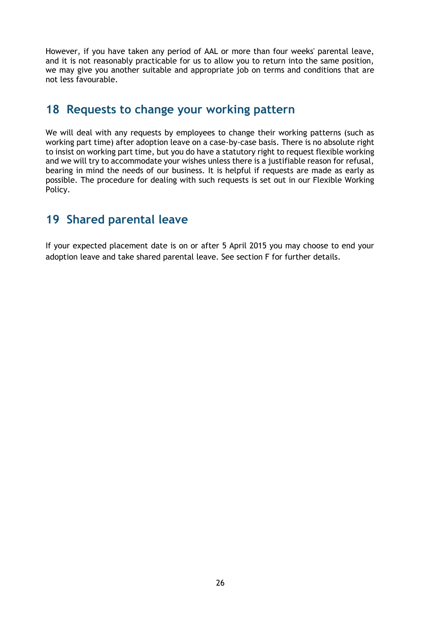However, if you have taken any period of AAL or more than four weeks' parental leave, and it is not reasonably practicable for us to allow you to return into the same position, we may give you another suitable and appropriate job on terms and conditions that are not less favourable.

#### <span id="page-25-0"></span>**18 Requests to change your working pattern**

We will deal with any requests by employees to change their working patterns (such as working part time) after adoption leave on a case-by-case basis. There is no absolute right to insist on working part time, but you do have a statutory right to request flexible working and we will try to accommodate your wishes unless there is a justifiable reason for refusal, bearing in mind the needs of our business. It is helpful if requests are made as early as possible. The procedure for dealing with such requests is set out in our Flexible Working Policy.

## <span id="page-25-1"></span>**19 Shared parental leave**

If your expected placement date is on or after 5 April 2015 you may choose to end your adoption leave and take shared parental leave. See section F for further details.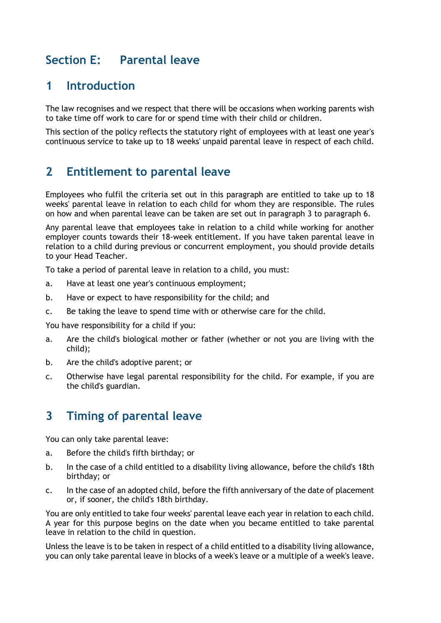## <span id="page-26-0"></span>**Section E: Parental leave**

#### <span id="page-26-1"></span>**1 Introduction**

The law recognises and we respect that there will be occasions when working parents wish to take time off work to care for or spend time with their child or children.

This section of the policy reflects the statutory right of employees with at least one year's continuous service to take up to 18 weeks' unpaid parental leave in respect of each child.

#### <span id="page-26-2"></span>**2 Entitlement to parental leave**

Employees who fulfil the criteria set out in this paragraph are entitled to take up to 18 weeks' parental leave in relation to each child for whom they are responsible. The rules on how and when parental leave can be taken are set out in paragraph 3 to paragraph 6.

Any parental leave that employees take in relation to a child while working for another employer counts towards their 18-week entitlement. If you have taken parental leave in relation to a child during previous or concurrent employment, you should provide details to your Head Teacher.

To take a period of parental leave in relation to a child, you must:

- a. Have at least one year's continuous employment;
- b. Have or expect to have responsibility for the child; and
- c. Be taking the leave to spend time with or otherwise care for the child.

You have responsibility for a child if you:

- a. Are the child's biological mother or father (whether or not you are living with the child);
- b. Are the child's adoptive parent; or
- c. Otherwise have legal parental responsibility for the child. For example, if you are the child's guardian.

## <span id="page-26-3"></span>**3 Timing of parental leave**

You can only take parental leave:

- a. Before the child's fifth birthday; or
- b. In the case of a child entitled to a disability living allowance, before the child's 18th birthday; or
- c. In the case of an adopted child, before the fifth anniversary of the date of placement or, if sooner, the child's 18th birthday.

You are only entitled to take four weeks' parental leave each year in relation to each child. A year for this purpose begins on the date when you became entitled to take parental leave in relation to the child in question.

Unless the leave is to be taken in respect of a child entitled to a disability living allowance, you can only take parental leave in blocks of a week's leave or a multiple of a week's leave.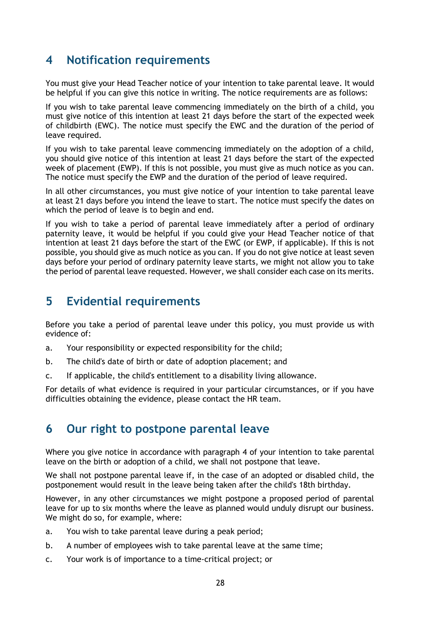### <span id="page-27-0"></span>**4 Notification requirements**

You must give your Head Teacher notice of your intention to take parental leave. It would be helpful if you can give this notice in writing. The notice requirements are as follows:

If you wish to take parental leave commencing immediately on the birth of a child, you must give notice of this intention at least 21 days before the start of the expected week of childbirth (EWC). The notice must specify the EWC and the duration of the period of leave required.

If you wish to take parental leave commencing immediately on the adoption of a child, you should give notice of this intention at least 21 days before the start of the expected week of placement (EWP). If this is not possible, you must give as much notice as you can. The notice must specify the EWP and the duration of the period of leave required.

In all other circumstances, you must give notice of your intention to take parental leave at least 21 days before you intend the leave to start. The notice must specify the dates on which the period of leave is to begin and end.

If you wish to take a period of parental leave immediately after a period of ordinary paternity leave, it would be helpful if you could give your Head Teacher notice of that intention at least 21 days before the start of the EWC (or EWP, if applicable). If this is not possible, you should give as much notice as you can. If you do not give notice at least seven days before your period of ordinary paternity leave starts, we might not allow you to take the period of parental leave requested. However, we shall consider each case on its merits.

#### <span id="page-27-1"></span>**5 Evidential requirements**

Before you take a period of parental leave under this policy, you must provide us with evidence of:

- a. Your responsibility or expected responsibility for the child;
- b. The child's date of birth or date of adoption placement; and
- c. If applicable, the child's entitlement to a disability living allowance.

For details of what evidence is required in your particular circumstances, or if you have difficulties obtaining the evidence, please contact the HR team.

## <span id="page-27-2"></span>**6 Our right to postpone parental leave**

Where you give notice in accordance with paragraph 4 of your intention to take parental leave on the birth or adoption of a child, we shall not postpone that leave.

We shall not postpone parental leave if, in the case of an adopted or disabled child, the postponement would result in the leave being taken after the child's 18th birthday.

However, in any other circumstances we might postpone a proposed period of parental leave for up to six months where the leave as planned would unduly disrupt our business. We might do so, for example, where:

- a. You wish to take parental leave during a peak period;
- b. A number of employees wish to take parental leave at the same time;
- c. Your work is of importance to a time-critical project; or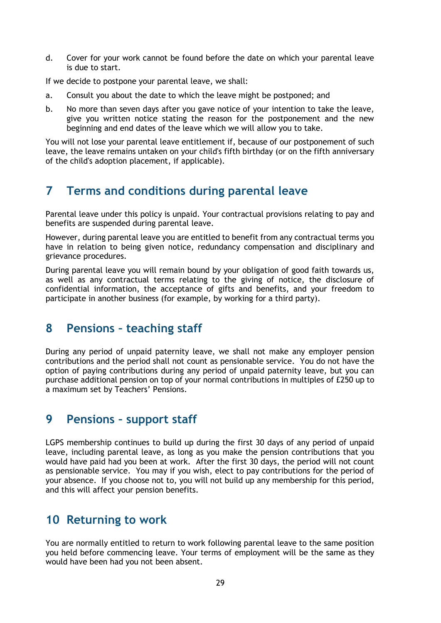d. Cover for your work cannot be found before the date on which your parental leave is due to start.

If we decide to postpone your parental leave, we shall:

- a. Consult you about the date to which the leave might be postponed; and
- b. No more than seven days after you gave notice of your intention to take the leave, give you written notice stating the reason for the postponement and the new beginning and end dates of the leave which we will allow you to take.

You will not lose your parental leave entitlement if, because of our postponement of such leave, the leave remains untaken on your child's fifth birthday (or on the fifth anniversary of the child's adoption placement, if applicable).

## <span id="page-28-0"></span>**7 Terms and conditions during parental leave**

Parental leave under this policy is unpaid. Your contractual provisions relating to pay and benefits are suspended during parental leave.

However, during parental leave you are entitled to benefit from any contractual terms you have in relation to being given notice, redundancy compensation and disciplinary and grievance procedures.

During parental leave you will remain bound by your obligation of good faith towards us, as well as any contractual terms relating to the giving of notice, the disclosure of confidential information, the acceptance of gifts and benefits, and your freedom to participate in another business (for example, by working for a third party).

## <span id="page-28-1"></span>**8 Pensions – teaching staff**

During any period of unpaid paternity leave, we shall not make any employer pension contributions and the period shall not count as pensionable service. You do not have the option of paying contributions during any period of unpaid paternity leave, but you can purchase additional pension on top of your normal contributions in multiples of £250 up to a maximum set by Teachers' Pensions.

#### <span id="page-28-2"></span>**9 Pensions – support staff**

LGPS membership continues to build up during the first 30 days of any period of unpaid leave, including parental leave, as long as you make the pension contributions that you would have paid had you been at work. After the first 30 days, the period will not count as pensionable service. You may if you wish, elect to pay contributions for the period of your absence. If you choose not to, you will not build up any membership for this period, and this will affect your pension benefits.

#### <span id="page-28-3"></span>**10 Returning to work**

You are normally entitled to return to work following parental leave to the same position you held before commencing leave. Your terms of employment will be the same as they would have been had you not been absent.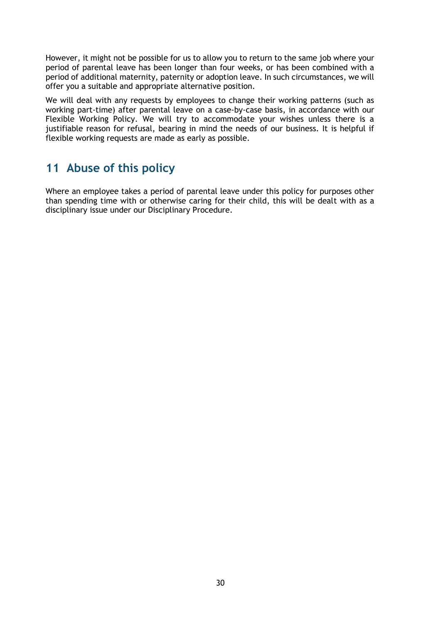However, it might not be possible for us to allow you to return to the same job where your period of parental leave has been longer than four weeks, or has been combined with a period of additional maternity, paternity or adoption leave. In such circumstances, we will offer you a suitable and appropriate alternative position.

We will deal with any requests by employees to change their working patterns (such as working part-time) after parental leave on a case-by-case basis, in accordance with our Flexible Working Policy. We will try to accommodate your wishes unless there is a justifiable reason for refusal, bearing in mind the needs of our business. It is helpful if flexible working requests are made as early as possible.

## <span id="page-29-0"></span>**11 Abuse of this policy**

Where an employee takes a period of parental leave under this policy for purposes other than spending time with or otherwise caring for their child, this will be dealt with as a disciplinary issue under our Disciplinary Procedure.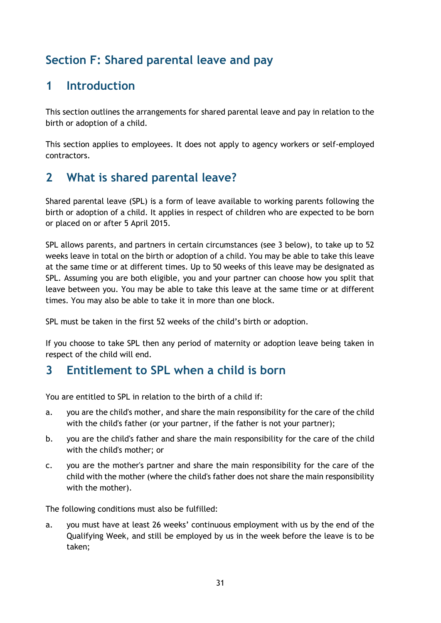## **Section F: Shared parental leave and pay**

## <span id="page-30-0"></span>**1 Introduction**

This section outlines the arrangements for shared parental leave and pay in relation to the birth or adoption of a child.

This section applies to employees. It does not apply to agency workers or self-employed contractors.

## **2 What is shared parental leave?**

Shared parental leave (SPL) is a form of leave available to working parents following the birth or adoption of a child. It applies in respect of children who are expected to be born or placed on or after 5 April 2015.

SPL allows parents, and partners in certain circumstances (see 3 below), to take up to 52 weeks leave in total on the birth or adoption of a child. You may be able to take this leave at the same time or at different times. Up to 50 weeks of this leave may be designated as SPL. Assuming you are both eligible, you and your partner can choose how you split that leave between you. You may be able to take this leave at the same time or at different times. You may also be able to take it in more than one block.

SPL must be taken in the first 52 weeks of the child's birth or adoption.

If you choose to take SPL then any period of maternity or adoption leave being taken in respect of the child will end.

## <span id="page-30-1"></span>**3 Entitlement to SPL when a child is born**

You are entitled to SPL in relation to the birth of a child if:

- a. you are the child's mother, and share the main responsibility for the care of the child with the child's father (or your partner, if the father is not your partner);
- b. you are the child's father and share the main responsibility for the care of the child with the child's mother; or
- c. you are the mother's partner and share the main responsibility for the care of the child with the mother (where the child's father does not share the main responsibility with the mother).

The following conditions must also be fulfilled:

a. you must have at least 26 weeks' continuous employment with us by the end of the Qualifying Week, and still be employed by us in the week before the leave is to be taken;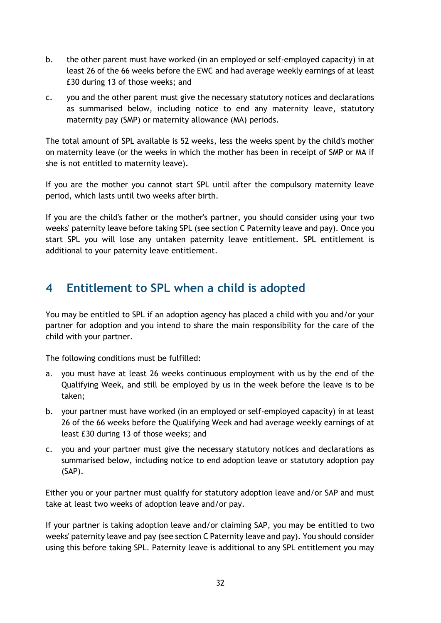- b. the other parent must have worked (in an employed or self-employed capacity) in at least 26 of the 66 weeks before the EWC and had average weekly earnings of at least £30 during 13 of those weeks; and
- c. you and the other parent must give the necessary statutory notices and declarations as summarised below, including notice to end any maternity leave, statutory maternity pay (SMP) or maternity allowance (MA) periods.

The total amount of SPL available is 52 weeks, less the weeks spent by the child's mother on maternity leave (or the weeks in which the mother has been in receipt of SMP or MA if she is not entitled to maternity leave).

If you are the mother you cannot start SPL until after the compulsory maternity leave period, which lasts until two weeks after birth.

If you are the child's father or the mother's partner, you should consider using your two weeks' paternity leave before taking SPL (see section C Paternity leave and pay). Once you start SPL you will lose any untaken paternity leave entitlement. SPL entitlement is additional to your paternity leave entitlement.

## <span id="page-31-0"></span>**4 Entitlement to SPL when a child is adopted**

You may be entitled to SPL if an adoption agency has placed a child with you and/or your partner for adoption and you intend to share the main responsibility for the care of the child with your partner.

The following conditions must be fulfilled:

- a. you must have at least 26 weeks continuous employment with us by the end of the Qualifying Week, and still be employed by us in the week before the leave is to be taken;
- b. your partner must have worked (in an employed or self-employed capacity) in at least 26 of the 66 weeks before the Qualifying Week and had average weekly earnings of at least £30 during 13 of those weeks; and
- c. you and your partner must give the necessary statutory notices and declarations as summarised below, including notice to end adoption leave or statutory adoption pay (SAP).

Either you or your partner must qualify for statutory adoption leave and/or SAP and must take at least two weeks of adoption leave and/or pay.

If your partner is taking adoption leave and/or claiming SAP, you may be entitled to two weeks' paternity leave and pay (see section C Paternity leave and pay). You should consider using this before taking SPL. Paternity leave is additional to any SPL entitlement you may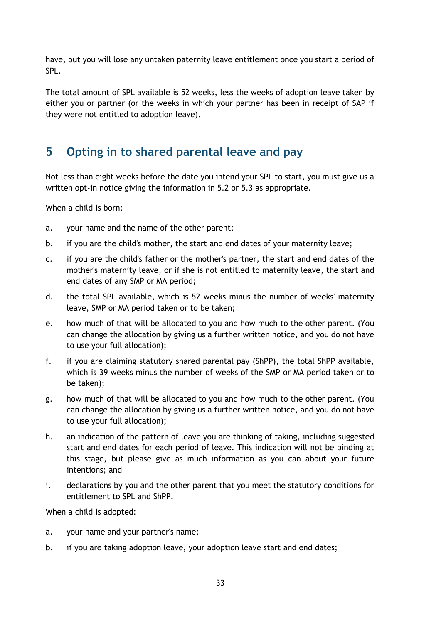have, but you will lose any untaken paternity leave entitlement once you start a period of SPL.

The total amount of SPL available is 52 weeks, less the weeks of adoption leave taken by either you or partner (or the weeks in which your partner has been in receipt of SAP if they were not entitled to adoption leave).

## <span id="page-32-0"></span>**5 Opting in to shared parental leave and pay**

Not less than eight weeks before the date you intend your SPL to start, you must give us a written opt-in notice giving the information in 5.2 or 5.3 as appropriate.

When a child is born:

- a. your name and the name of the other parent;
- b. if you are the child's mother, the start and end dates of your maternity leave;
- c. if you are the child's father or the mother's partner, the start and end dates of the mother's maternity leave, or if she is not entitled to maternity leave, the start and end dates of any SMP or MA period;
- d. the total SPL available, which is 52 weeks minus the number of weeks' maternity leave, SMP or MA period taken or to be taken;
- e. how much of that will be allocated to you and how much to the other parent. (You can change the allocation by giving us a further written notice, and you do not have to use your full allocation);
- f. if you are claiming statutory shared parental pay (ShPP), the total ShPP available, which is 39 weeks minus the number of weeks of the SMP or MA period taken or to be taken);
- g. how much of that will be allocated to you and how much to the other parent. (You can change the allocation by giving us a further written notice, and you do not have to use your full allocation);
- h. an indication of the pattern of leave you are thinking of taking, including suggested start and end dates for each period of leave. This indication will not be binding at this stage, but please give as much information as you can about your future intentions; and
- i. declarations by you and the other parent that you meet the statutory conditions for entitlement to SPL and ShPP.

When a child is adopted:

- a. your name and your partner's name;
- b. if you are taking adoption leave, your adoption leave start and end dates;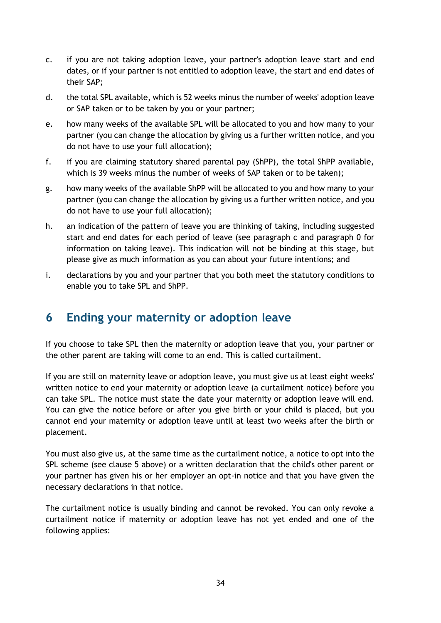- c. if you are not taking adoption leave, your partner's adoption leave start and end dates, or if your partner is not entitled to adoption leave, the start and end dates of their SAP;
- d. the total SPL available, which is 52 weeks minus the number of weeks' adoption leave or SAP taken or to be taken by you or your partner;
- e. how many weeks of the available SPL will be allocated to you and how many to your partner (you can change the allocation by giving us a further written notice, and you do not have to use your full allocation);
- f. if you are claiming statutory shared parental pay (ShPP), the total ShPP available, which is 39 weeks minus the number of weeks of SAP taken or to be taken);
- g. how many weeks of the available ShPP will be allocated to you and how many to your partner (you can change the allocation by giving us a further written notice, and you do not have to use your full allocation);
- h. an indication of the pattern of leave you are thinking of taking, including suggested start and end dates for each period of leave (see paragraph [c](#page-35-0) and paragraph [0](#page-35-1) for information on taking leave). This indication will not be binding at this stage, but please give as much information as you can about your future intentions; and
- i. declarations by you and your partner that you both meet the statutory conditions to enable you to take SPL and ShPP.

## <span id="page-33-0"></span>**6 Ending your maternity or adoption leave**

If you choose to take SPL then the maternity or adoption leave that you, your partner or the other parent are taking will come to an end. This is called curtailment.

If you are still on maternity leave or adoption leave, you must give us at least eight weeks' written notice to end your maternity or adoption leave (a curtailment notice) before you can take SPL. The notice must state the date your maternity or adoption leave will end. You can give the notice before or after you give birth or your child is placed, but you cannot end your maternity or adoption leave until at least two weeks after the birth or placement.

You must also give us, at the same time as the curtailment notice, a notice to opt into the SPL scheme (see clause 5 above) or a written declaration that the child's other parent or your partner has given his or her employer an opt-in notice and that you have given the necessary declarations in that notice.

The curtailment notice is usually binding and cannot be revoked. You can only revoke a curtailment notice if maternity or adoption leave has not yet ended and one of the following applies: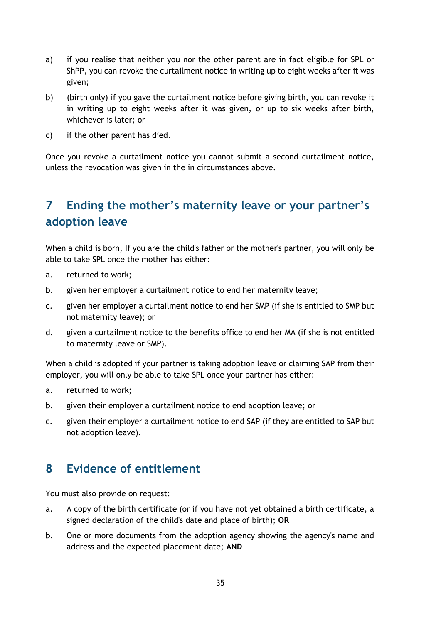- a) if you realise that neither you nor the other parent are in fact eligible for SPL or ShPP, you can revoke the curtailment notice in writing up to eight weeks after it was given;
- b) (birth only) if you gave the curtailment notice before giving birth, you can revoke it in writing up to eight weeks after it was given, or up to six weeks after birth, whichever is later; or
- c) if the other parent has died.

Once you revoke a curtailment notice you cannot submit a second curtailment notice, unless the revocation was given in the in circumstances above.

## **7 Ending the mother's maternity leave or your partner's adoption leave**

When a child is born, If you are the child's father or the mother's partner, you will only be able to take SPL once the mother has either:

- a. returned to work;
- b. given her employer a curtailment notice to end her maternity leave;
- c. given her employer a curtailment notice to end her SMP (if she is entitled to SMP but not maternity leave); or
- d. given a curtailment notice to the benefits office to end her MA (if she is not entitled to maternity leave or SMP).

When a child is adopted if your partner is taking adoption leave or claiming SAP from their employer, you will only be able to take SPL once your partner has either:

- a. returned to work;
- b. given their employer a curtailment notice to end adoption leave; or
- c. given their employer a curtailment notice to end SAP (if they are entitled to SAP but not adoption leave).

## <span id="page-34-0"></span>**8 Evidence of entitlement**

You must also provide on request:

- a. A copy of the birth certificate (or if you have not yet obtained a birth certificate, a signed declaration of the child's date and place of birth); **OR**
- b. One or more documents from the adoption agency showing the agency's name and address and the expected placement date; **AND**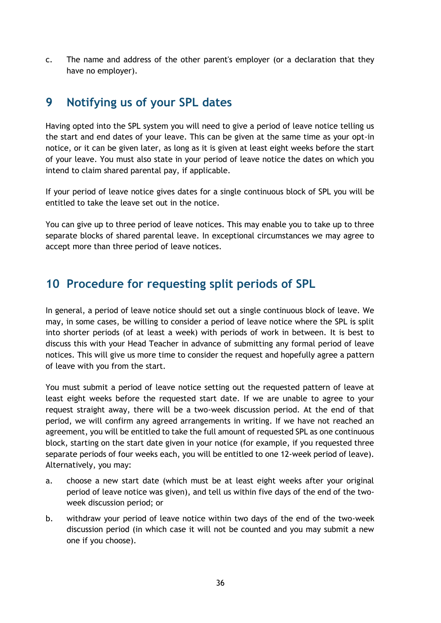<span id="page-35-0"></span>c. The name and address of the other parent's employer (or a declaration that they have no employer).

#### **9 Notifying us of your SPL dates**

Having opted into the SPL system you will need to give a period of leave notice telling us the start and end dates of your leave. This can be given at the same time as your opt-in notice, or it can be given later, as long as it is given at least eight weeks before the start of your leave. You must also state in your period of leave notice the dates on which you intend to claim shared parental pay, if applicable.

If your period of leave notice gives dates for a single continuous block of SPL you will be entitled to take the leave set out in the notice.

You can give up to three period of leave notices. This may enable you to take up to three separate blocks of shared parental leave. In exceptional circumstances we may agree to accept more than three period of leave notices.

## <span id="page-35-1"></span>**10 Procedure for requesting split periods of SPL**

In general, a period of leave notice should set out a single continuous block of leave. We may, in some cases, be willing to consider a period of leave notice where the SPL is split into shorter periods (of at least a week) with periods of work in between. It is best to discuss this with your Head Teacher in advance of submitting any formal period of leave notices. This will give us more time to consider the request and hopefully agree a pattern of leave with you from the start.

You must submit a period of leave notice setting out the requested pattern of leave at least eight weeks before the requested start date. If we are unable to agree to your request straight away, there will be a two-week discussion period. At the end of that period, we will confirm any agreed arrangements in writing. If we have not reached an agreement, you will be entitled to take the full amount of requested SPL as one continuous block, starting on the start date given in your notice (for example, if you requested three separate periods of four weeks each, you will be entitled to one 12-week period of leave). Alternatively, you may:

- a. choose a new start date (which must be at least eight weeks after your original period of leave notice was given), and tell us within five days of the end of the twoweek discussion period; or
- b. withdraw your period of leave notice within two days of the end of the two-week discussion period (in which case it will not be counted and you may submit a new one if you choose).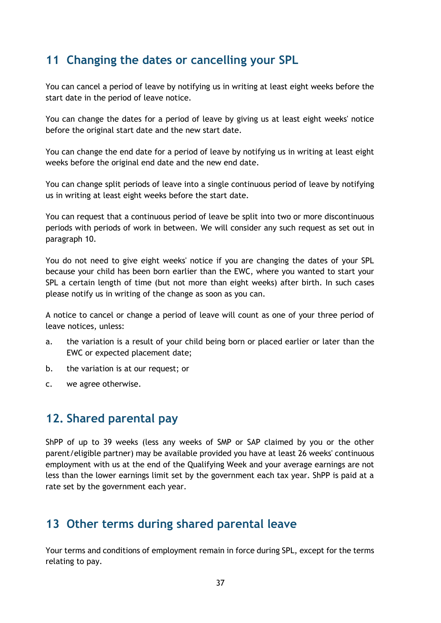## <span id="page-36-0"></span>**11 Changing the dates or cancelling your SPL**

You can cancel a period of leave by notifying us in writing at least eight weeks before the start date in the period of leave notice.

You can change the dates for a period of leave by giving us at least eight weeks' notice before the original start date and the new start date.

You can change the end date for a period of leave by notifying us in writing at least eight weeks before the original end date and the new end date.

You can change split periods of leave into a single continuous period of leave by notifying us in writing at least eight weeks before the start date.

You can request that a continuous period of leave be split into two or more discontinuous periods with periods of work in between. We will consider any such request as set out in paragraph [10.](#page-35-1)

You do not need to give eight weeks' notice if you are changing the dates of your SPL because your child has been born earlier than the EWC, where you wanted to start your SPL a certain length of time (but not more than eight weeks) after birth. In such cases please notify us in writing of the change as soon as you can.

A notice to cancel or change a period of leave will count as one of your three period of leave notices, unless:

- a. the variation is a result of your child being born or placed earlier or later than the EWC or expected placement date;
- b. the variation is at our request; or
- c. we agree otherwise.

## <span id="page-36-1"></span>**12. Shared parental pay**

ShPP of up to 39 weeks (less any weeks of SMP or SAP claimed by you or the other parent/eligible partner) may be available provided you have at least 26 weeks' continuous employment with us at the end of the Qualifying Week and your average earnings are not less than the lower earnings limit set by the government each tax year. ShPP is paid at a rate set by the government each year.

#### <span id="page-36-2"></span>**13 Other terms during shared parental leave**

Your terms and conditions of employment remain in force during SPL, except for the terms relating to pay.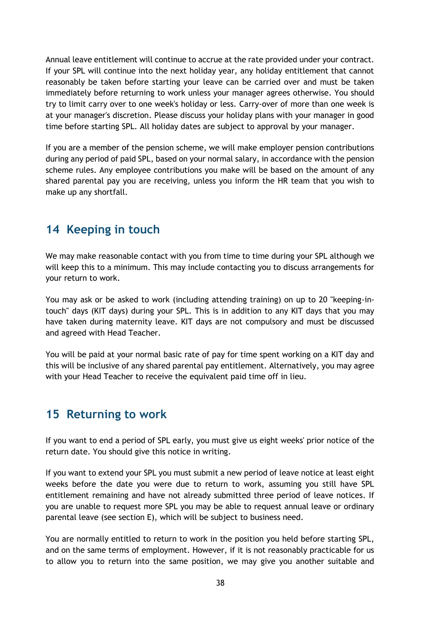Annual leave entitlement will continue to accrue at the rate provided under your contract. If your SPL will continue into the next holiday year, any holiday entitlement that cannot reasonably be taken before starting your leave can be carried over and must be taken immediately before returning to work unless your manager agrees otherwise. You should try to limit carry over to one week's holiday or less. Carry-over of more than one week is at your manager's discretion. Please discuss your holiday plans with your manager in good time before starting SPL. All holiday dates are subject to approval by your manager.

If you are a member of the pension scheme, we will make employer pension contributions during any period of paid SPL, based on your normal salary, in accordance with the pension scheme rules. Any employee contributions you make will be based on the amount of any shared parental pay you are receiving, unless you inform the HR team that you wish to make up any shortfall.

## <span id="page-37-0"></span>**14 Keeping in touch**

We may make reasonable contact with you from time to time during your SPL although we will keep this to a minimum. This may include contacting you to discuss arrangements for your return to work.

You may ask or be asked to work (including attending training) on up to 20 "keeping-intouch" days (KIT days) during your SPL. This is in addition to any KIT days that you may have taken during maternity leave. KIT days are not compulsory and must be discussed and agreed with Head Teacher.

You will be paid at your normal basic rate of pay for time spent working on a KIT day and this will be inclusive of any shared parental pay entitlement. Alternatively, you may agree with your Head Teacher to receive the equivalent paid time off in lieu.

## <span id="page-37-1"></span>**15 Returning to work**

If you want to end a period of SPL early, you must give us eight weeks' prior notice of the return date. You should give this notice in writing.

If you want to extend your SPL you must submit a new period of leave notice at least eight weeks before the date you were due to return to work, assuming you still have SPL entitlement remaining and have not already submitted three period of leave notices. If you are unable to request more SPL you may be able to request annual leave or ordinary parental leave (see section E), which will be subject to business need.

You are normally entitled to return to work in the position you held before starting SPL, and on the same terms of employment. However, if it is not reasonably practicable for us to allow you to return into the same position, we may give you another suitable and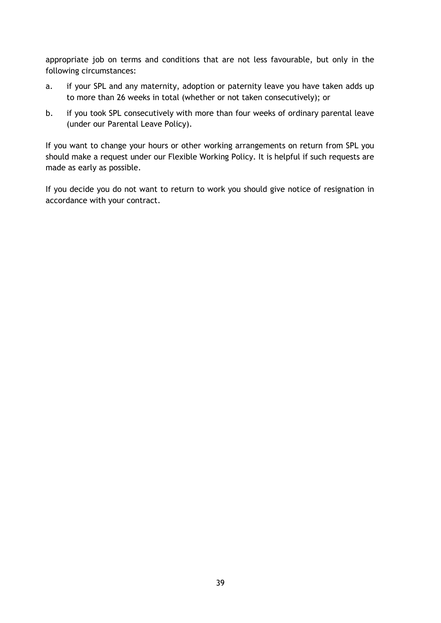appropriate job on terms and conditions that are not less favourable, but only in the following circumstances:

- a. if your SPL and any maternity, adoption or paternity leave you have taken adds up to more than 26 weeks in total (whether or not taken consecutively); or
- b. if you took SPL consecutively with more than four weeks of ordinary parental leave (under our Parental Leave Policy).

If you want to change your hours or other working arrangements on return from SPL you should make a request under our Flexible Working Policy. It is helpful if such requests are made as early as possible.

If you decide you do not want to return to work you should give notice of resignation in accordance with your contract.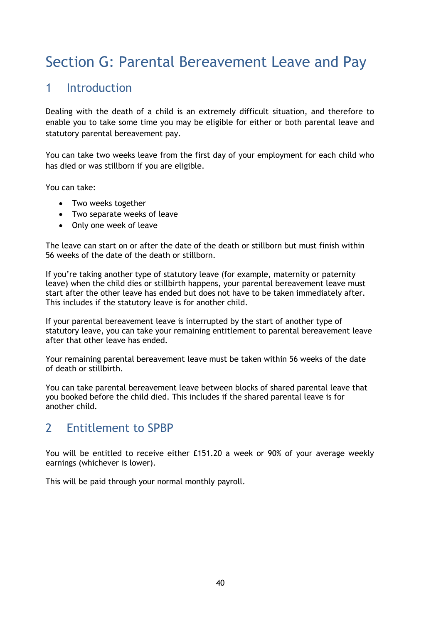## Section G: Parental Bereavement Leave and Pay

## 1 Introduction

Dealing with the death of a child is an extremely difficult situation, and therefore to enable you to take some time you may be eligible for either or both parental leave and statutory parental bereavement pay.

You can take two weeks leave from the first day of your employment for each child who has died or was stillborn if you are eligible.

You can take:

- Two weeks together
- Two separate weeks of leave
- Only one week of leave

The leave can start on or after the date of the death or stillborn but must finish within 56 weeks of the date of the death or stillborn.

If you're taking another type of statutory leave (for example, maternity or paternity leave) when the child dies or stillbirth happens, your parental bereavement leave must start after the other leave has ended but does not have to be taken immediately after. This includes if the statutory leave is for another child.

If your parental bereavement leave is interrupted by the start of another type of statutory leave, you can take your remaining entitlement to parental bereavement leave after that other leave has ended.

Your remaining parental bereavement leave must be taken within 56 weeks of the date of death or stillbirth.

You can take parental bereavement leave between blocks of shared parental leave that you booked before the child died. This includes if the shared parental leave is for another child.

## 2 Entitlement to SPBP

You will be entitled to receive either £151.20 a week or 90% of your average weekly earnings (whichever is lower).

This will be paid through your normal monthly payroll.